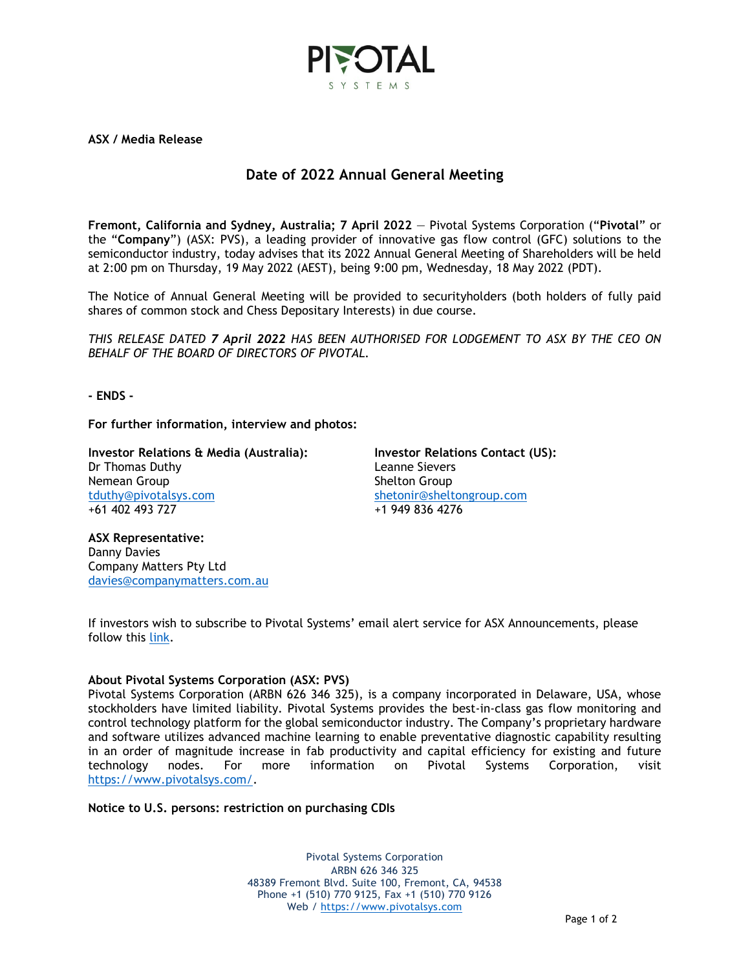

**ASX / Media Release**

## **Date of 2022 Annual General Meeting**

**Fremont, California and Sydney, Australia; 7 April 2022** — Pivotal Systems Corporation ("**Pivotal**" or the "**Company**") (ASX: PVS), a leading provider of innovative gas flow control (GFC) solutions to the semiconductor industry, today advises that its 2022 Annual General Meeting of Shareholders will be held at 2:00 pm on Thursday, 19 May 2022 (AEST), being 9:00 pm, Wednesday, 18 May 2022 (PDT).

The Notice of Annual General Meeting will be provided to securityholders (both holders of fully paid shares of common stock and Chess Depositary Interests) in due course.

*THIS RELEASE DATED 7 April 2022 HAS BEEN AUTHORISED FOR LODGEMENT TO ASX BY THE CEO ON BEHALF OF THE BOARD OF DIRECTORS OF PIVOTAL.*

**- ENDS -**

**For further information, interview and photos:**

**Investor Relations & Media (Australia):** Dr Thomas Duthy Nemean Group [tduthy@pivotalsys.com](mailto:tduthy@pivotalsys.com.au) +61 402 493 727

**Investor Relations Contact (US):**  Leanne Sievers Shelton Group [shetonir@sheltongroup.com](mailto:shetonir@sheltongroup.com) +1 949 836 4276

**ASX Representative:**  Danny Davies Company Matters Pty Ltd [davies@companymatters.com.au](mailto:davies@companymatters.com.au)

If investors wish to subscribe to Pivotal Systems' email alert service for ASX Announcements, please follow this [link.](https://www.pivotalsys.com/investors#asx)

## **About Pivotal Systems Corporation (ASX: PVS)**

Pivotal Systems Corporation (ARBN 626 346 325), is a company incorporated in Delaware, USA, whose stockholders have limited liability. Pivotal Systems provides the best-in-class gas flow monitoring and control technology platform for the global semiconductor industry. The Company's proprietary hardware and software utilizes advanced machine learning to enable preventative diagnostic capability resulting in an order of magnitude increase in fab productivity and capital efficiency for existing and future technology nodes. For more information on Pivotal Systems Corporation, visit [https://www.pivotalsys.com/.](https://www.pivotalsys.com/)

**Notice to U.S. persons: restriction on purchasing CDIs**

Pivotal Systems Corporation ARBN 626 346 325 48389 Fremont Blvd. Suite 100, Fremont, CA, 94538 Phone +1 (510) 770 9125, Fax +1 (510) 770 9126 Web / [https://www.pivotalsys.com](https://www.pivotalsys.com/)